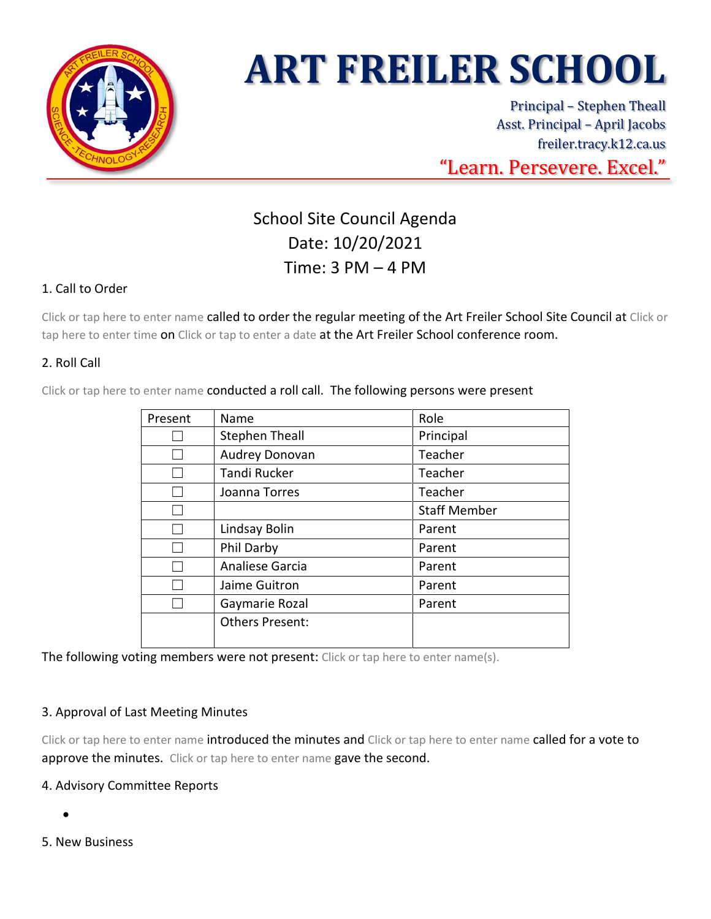

# **ART FREILER SCHOOL**

Principal – Stephen Theall Asst. Principal – April Jacobs freiler.tracy.k12.ca.us "Learn. Persevere. Excel."

# School Site Council Agenda Date: 10/20/2021 Time: 3 PM – 4 PM

## 1. Call to Order

Click or tap here to enter name called to order the regular meeting of the Art Freiler School Site Council at Click or tap here to enter time on Click or tap to enter a date at the Art Freiler School conference room.

## 2. Roll Call

Click or tap here to enter name conducted a roll call. The following persons were present

| Present | Name                   | Role                |
|---------|------------------------|---------------------|
|         | <b>Stephen Theall</b>  | Principal           |
|         | Audrey Donovan         | Teacher             |
|         | <b>Tandi Rucker</b>    | Teacher             |
|         | Joanna Torres          | Teacher             |
|         |                        | <b>Staff Member</b> |
|         | Lindsay Bolin          | Parent              |
|         | Phil Darby             | Parent              |
|         | Analiese Garcia        | Parent              |
|         | Jaime Guitron          | Parent              |
|         | Gaymarie Rozal         | Parent              |
|         | <b>Others Present:</b> |                     |
|         |                        |                     |

The following voting members were not present: Click or tap here to enter name(s).

#### 3. Approval of Last Meeting Minutes

Click or tap here to enter name introduced the minutes and Click or tap here to enter name called for a vote to approve the minutes. Click or tap here to enter name gave the second.

#### 4. Advisory Committee Reports

- •
- 5. New Business